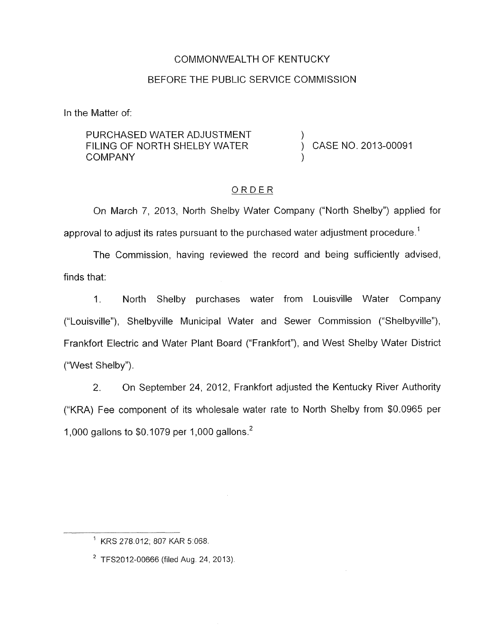## COMMONWEALTH OF KENTUCKY

### BEFORE THE PUBLIC SERVICE COMMISSION

In the Matter of:

PURCHASED WATER ADJUSTMENT  $\qquad \qquad )$  FILING OF NORTH SHELBY WATER  $\qquad \qquad )$ **COMPANY** FILING OF NORTH SHELBY WATER  $\overrightarrow{\phantom{0}}$  CASE NO. 2013-00091

### ORDER

On March 7, 2013, North Shelby Water Company ("North Shelby") applied for approval to adjust its rates pursuant to the purchased water adjustment procedure.<sup>1</sup>

The Commission, having reviewed the record and being sufficiently advised, finds that:

1. North Shelby purchases water from Louisville Water Company ("Louisville"), Shelbyville Municipal Water and Sewer Commission ("Shelbyville"), Frankfort Electric and Water Plant Board ("Frankfort"), and West Shelby Water District ("West Shelby").

*2.* On September 24, 2012, Frankfort adjusted the Kentucky River Authority ("KRA) Fee component of its wholesale water rate to North Shelby from \$0.0965 per 1,000 gallons to \$0.1079 per 1,000 gallons.'

 $1$  KRS 278.012; 807 KAR 5:068.

 $2$  TFS2012-00666 (filed Aug. 24, 2013).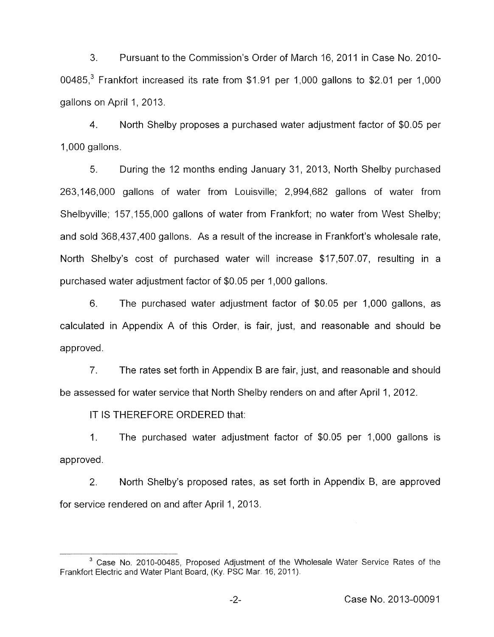3. Pursuant to the Commission's Order of March 16, 2011 in Case No. 2010-00485.<sup>3</sup> Frankfort increased its rate from \$1.91 per 1,000 gallons to \$2.01 per 1,000 gallons on April 1, 2013.

4. 1,000 gallons. North Shelby proposes a purchased water adjustment factor of \$0.05 per

5. During the 12 months ending January 31, 2013, North Shelby purchased 263,146,000 gallons of water from Louisville; 2,994,682 gallons of water from Shelbyville; 157,155,000 gallons of water from Frankfort; no water from West Shelby; and sold 368,437,400 gallons. As a result of the increase in Frankfort's wholesale rate, North Shelby's cost of purchased water will increase \$17,507.07, resulting in a purchased water adjustment factor of \$0.05 per 1,000 gallons.

6. The purchased water adjustment factor of \$0.05 per 1,000 gallons, as calculated in Appendix A of this Order, is fair, just, and reasonable and should be approved.

*7.* The rates set forth in Appendix B are fair, just, and reasonable and should be assessed for water service that North Shelby renders on and after April 1, 2012.

IT IS THEREFORE ORDERED that:

1. The purchased water adjustment factor of \$0.05 per 1,000 gallons is approved.

2. North Shelby's proposed rates, as set forth in Appendix B, are approved for service rendered on and after April 1, 2013.

<sup>&</sup>lt;sup>3</sup> Case No. 2010-00485, Proposed Adjustment of the Wholesale Water Service Rates of the **Frankfort Electric and Water Plant Board**, (Ky. PSC Mar 16, 2011).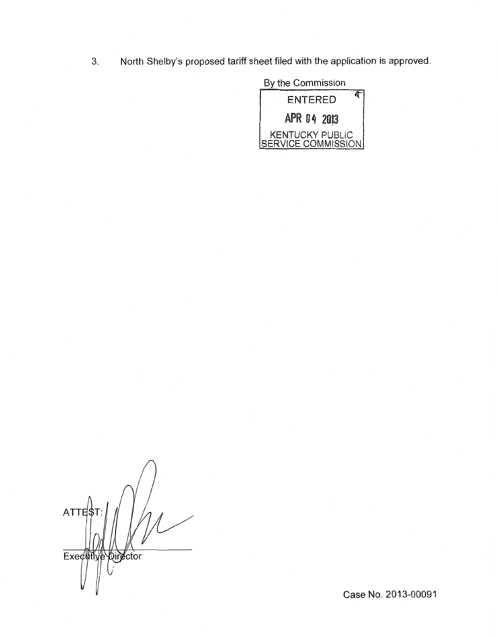**3.** North Shelby's proposed tariff sheet filed with the application is approved.



*n*   $ATTE$ \$1 Executive Director

Case No. 2013-00091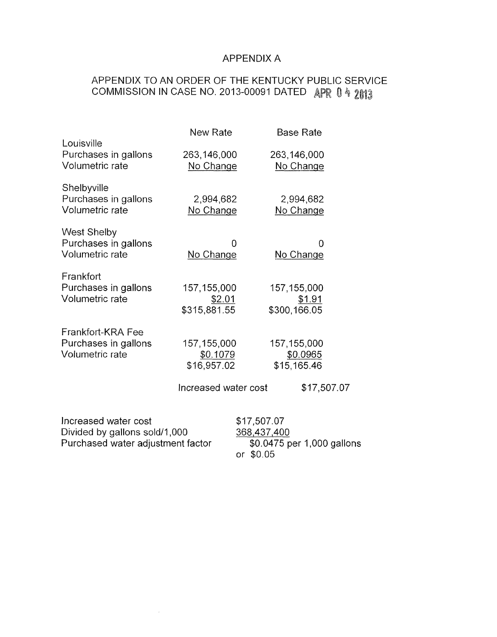# APPENDIX A

# APPENDIX TO AN ORDER OF THE KENTUCKY PUBLIC SERVICE COMMISSION IN CASE NO. 2013-00091 DATED APR 0 *4* 2@f3

|                                                                                            | New Rate                                                         | <b>Base Rate</b>                                                         |  |
|--------------------------------------------------------------------------------------------|------------------------------------------------------------------|--------------------------------------------------------------------------|--|
| Louisville<br>Purchases in gallons<br>Volumetric rate                                      | 263,146,000<br>No Change                                         | 263,146,000<br>No Change                                                 |  |
| Shelbyville<br>Purchases in gallons<br>Volumetric rate                                     | 2,994,682<br>No Change                                           | 2,994,682<br>No Change                                                   |  |
| <b>West Shelby</b><br>Purchases in gallons<br>Volumetric rate                              | 0<br>No Change                                                   | 0<br>No Change                                                           |  |
| Frankfort<br>Purchases in gallons<br>Volumetric rate                                       | 157, 155, 000<br>\$2.01<br>\$315,881.55                          | 157,155,000<br>\$1.91<br>\$300,166.05                                    |  |
| Frankfort-KRA Fee<br>Purchases in gallons<br>Volumetric rate                               | 157, 155, 000<br>\$0.1079<br>\$16,957.02<br>Increased water cost | 157, 155, 000<br>\$0.0965<br>\$15,165.46<br>\$17,507.07                  |  |
| Increased water cost<br>Divided by gallons sold/1,000<br>Purchased water adjustment factor |                                                                  | \$17,507.07<br>368,437,400<br>\$0.0475 per 1,000 gallons<br>\$0.05<br>or |  |

 $\sim$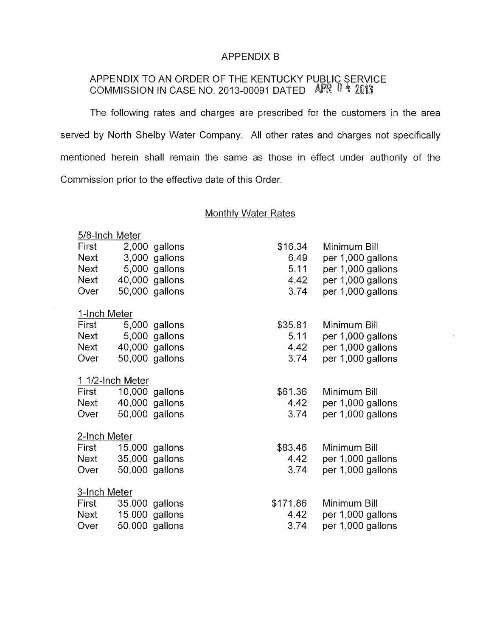### APPENDIX B

### APPENDIX TO AN ORDER OF THE KENTUCKY PUBLIC SERVICE COMMISSION IN CASE NO. 2013-00091 DATED

The following rates and charges are prescribed for the customers in the area served by North Shelby Water Company. All other rates and charges not specifically mentioned herein shall remain the same as those in effect under authority of the Commission prior to the effective date of this Order.

## Monthly Water Rates

| 5/8-Inch Meter   |  |                |          |                   |  |  |
|------------------|--|----------------|----------|-------------------|--|--|
| First            |  | 2,000 gallons  | \$16.34  | Minimum Bill      |  |  |
| <b>Next</b>      |  | 3,000 gallons  | 6.49     | per 1,000 gallons |  |  |
| Next             |  | 5,000 gallons  | 5.11     | per 1,000 gallons |  |  |
| <b>Next</b>      |  | 40,000 gallons | 4.42     | per 1,000 gallons |  |  |
| Over             |  | 50,000 gallons | 3.74     | per 1,000 gallons |  |  |
| 1-Inch Meter     |  |                |          |                   |  |  |
| First            |  | 5,000 gallons  | \$35.81  | Minimum Bill      |  |  |
| Next             |  | 5,000 gallons  | 5.11     | per 1,000 gallons |  |  |
| Next             |  | 40,000 gallons | 4.42     | per 1,000 gallons |  |  |
| Over             |  | 50,000 gallons | 3.74     | per 1,000 gallons |  |  |
| 1 1/2-Inch Meter |  |                |          |                   |  |  |
| First            |  | 10,000 gallons | \$61.36  | Minimum Bill      |  |  |
| Next             |  | 40,000 gallons | 4.42     | per 1,000 gallons |  |  |
| Over             |  | 50,000 gallons | 3.74     | per 1,000 gallons |  |  |
| 2-Inch Meter     |  |                |          |                   |  |  |
| First            |  | 15,000 gallons | \$83.46  | Minimum Bill      |  |  |
| <b>Next</b>      |  | 35,000 gallons | 4.42     | per 1,000 gallons |  |  |
| Over             |  | 50,000 gallons | 3.74     | per 1,000 gallons |  |  |
| 3-Inch Meter     |  |                |          |                   |  |  |
| First            |  | 35,000 gallons | \$171.86 | Minimum Bill      |  |  |
| <b>Next</b>      |  | 15,000 gallons | 4.42     | per 1,000 gallons |  |  |
| Over             |  | 50,000 gallons | 3.74     | per 1,000 gallons |  |  |